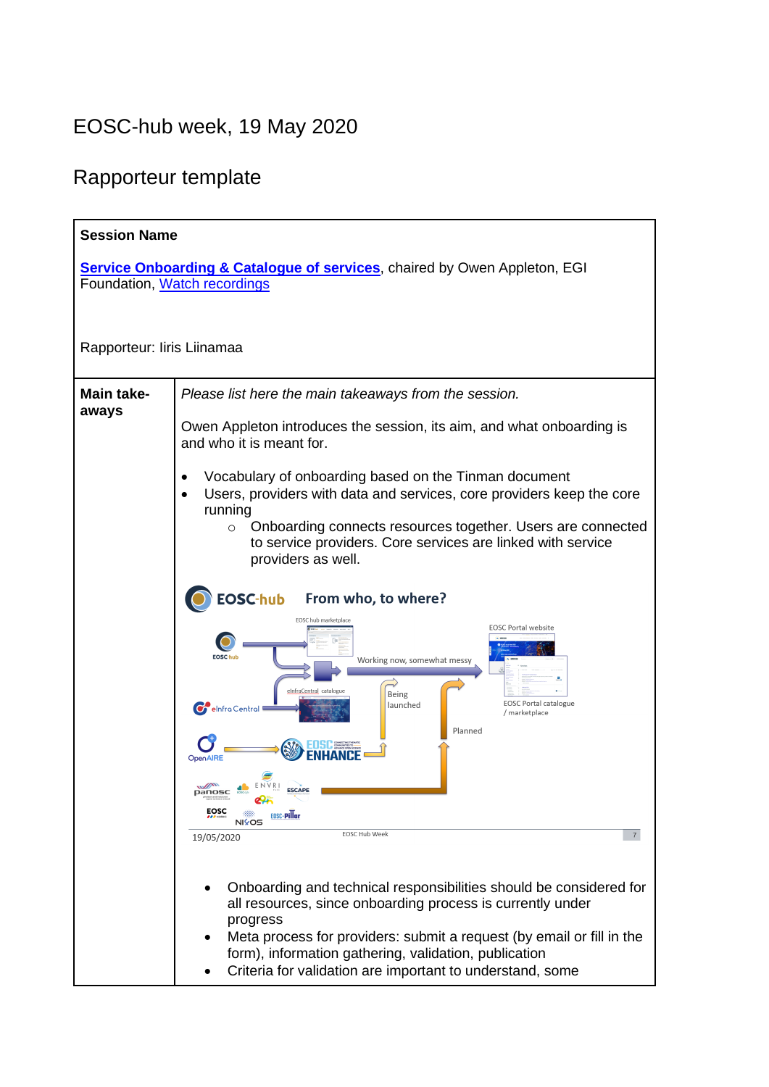## EOSC-hub week, 19 May 2020

## Rapporteur template

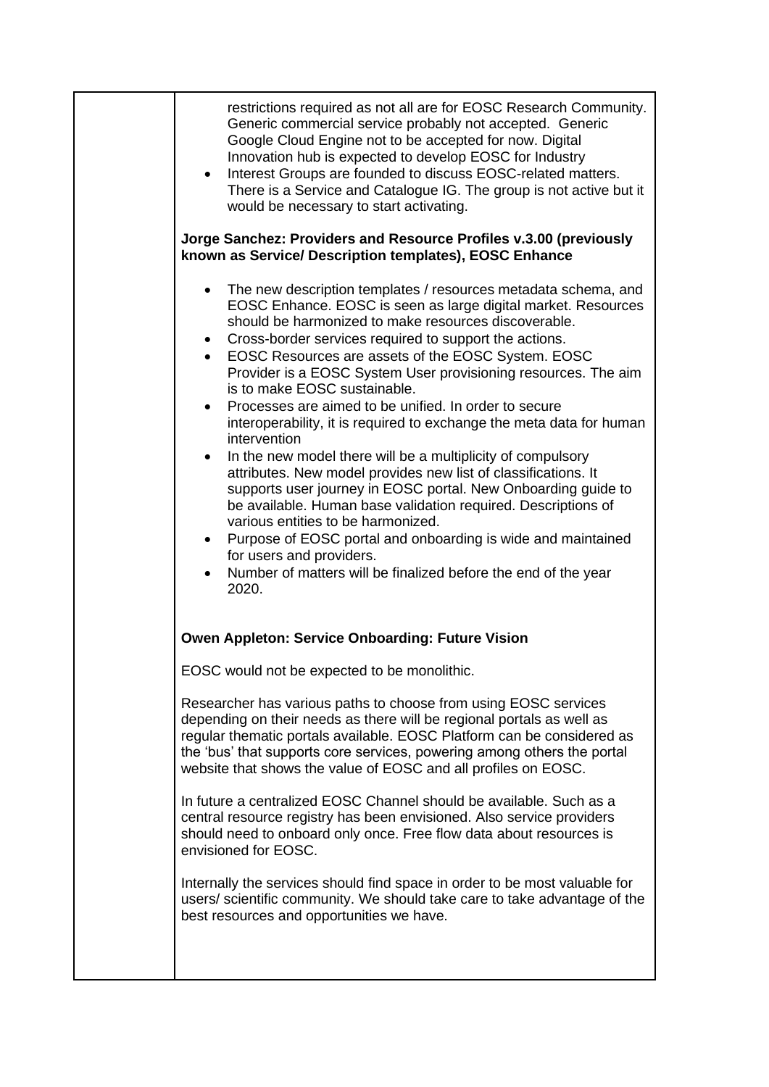| restrictions required as not all are for EOSC Research Community.<br>Generic commercial service probably not accepted. Generic<br>Google Cloud Engine not to be accepted for now. Digital<br>Innovation hub is expected to develop EOSC for Industry<br>Interest Groups are founded to discuss EOSC-related matters.<br>$\bullet$<br>There is a Service and Catalogue IG. The group is not active but it<br>would be necessary to start activating.                                                                                                                                                                                                                                                                                                                                                                                                                                                                                                                                                                                    |
|----------------------------------------------------------------------------------------------------------------------------------------------------------------------------------------------------------------------------------------------------------------------------------------------------------------------------------------------------------------------------------------------------------------------------------------------------------------------------------------------------------------------------------------------------------------------------------------------------------------------------------------------------------------------------------------------------------------------------------------------------------------------------------------------------------------------------------------------------------------------------------------------------------------------------------------------------------------------------------------------------------------------------------------|
| Jorge Sanchez: Providers and Resource Profiles v.3.00 (previously<br>known as Service/ Description templates), EOSC Enhance                                                                                                                                                                                                                                                                                                                                                                                                                                                                                                                                                                                                                                                                                                                                                                                                                                                                                                            |
| The new description templates / resources metadata schema, and<br>EOSC Enhance. EOSC is seen as large digital market. Resources<br>should be harmonized to make resources discoverable.<br>Cross-border services required to support the actions.<br>EOSC Resources are assets of the EOSC System. EOSC<br>Provider is a EOSC System User provisioning resources. The aim<br>is to make EOSC sustainable.<br>Processes are aimed to be unified. In order to secure<br>interoperability, it is required to exchange the meta data for human<br>intervention<br>In the new model there will be a multiplicity of compulsory<br>٠<br>attributes. New model provides new list of classifications. It<br>supports user journey in EOSC portal. New Onboarding guide to<br>be available. Human base validation required. Descriptions of<br>various entities to be harmonized.<br>Purpose of EOSC portal and onboarding is wide and maintained<br>for users and providers.<br>Number of matters will be finalized before the end of the year |
| 2020.                                                                                                                                                                                                                                                                                                                                                                                                                                                                                                                                                                                                                                                                                                                                                                                                                                                                                                                                                                                                                                  |
| <b>Owen Appleton: Service Onboarding: Future Vision</b>                                                                                                                                                                                                                                                                                                                                                                                                                                                                                                                                                                                                                                                                                                                                                                                                                                                                                                                                                                                |
| EOSC would not be expected to be monolithic.                                                                                                                                                                                                                                                                                                                                                                                                                                                                                                                                                                                                                                                                                                                                                                                                                                                                                                                                                                                           |
| Researcher has various paths to choose from using EOSC services<br>depending on their needs as there will be regional portals as well as<br>regular thematic portals available. EOSC Platform can be considered as<br>the 'bus' that supports core services, powering among others the portal<br>website that shows the value of EOSC and all profiles on EOSC.                                                                                                                                                                                                                                                                                                                                                                                                                                                                                                                                                                                                                                                                        |
| In future a centralized EOSC Channel should be available. Such as a<br>central resource registry has been envisioned. Also service providers<br>should need to onboard only once. Free flow data about resources is<br>envisioned for EOSC.                                                                                                                                                                                                                                                                                                                                                                                                                                                                                                                                                                                                                                                                                                                                                                                            |
| Internally the services should find space in order to be most valuable for<br>users/ scientific community. We should take care to take advantage of the<br>best resources and opportunities we have.                                                                                                                                                                                                                                                                                                                                                                                                                                                                                                                                                                                                                                                                                                                                                                                                                                   |
|                                                                                                                                                                                                                                                                                                                                                                                                                                                                                                                                                                                                                                                                                                                                                                                                                                                                                                                                                                                                                                        |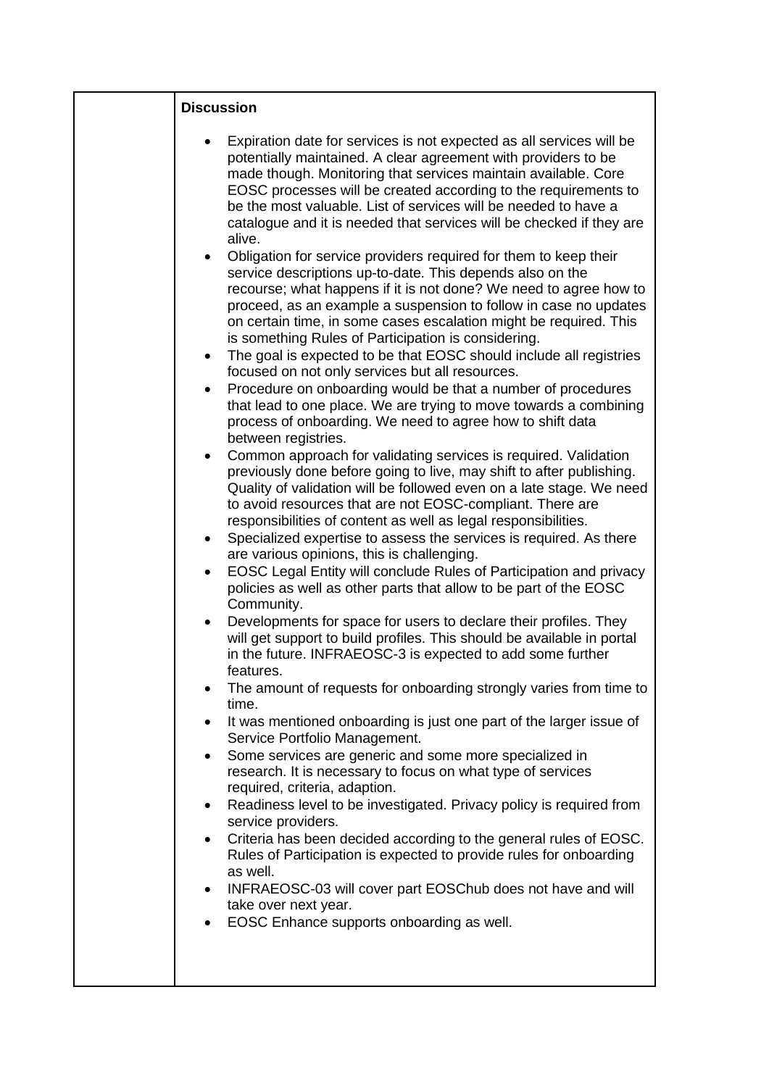| <b>Discussion</b>                                                                                                                                                                                                                                                                                                                                                                                                                                                                                                                             |
|-----------------------------------------------------------------------------------------------------------------------------------------------------------------------------------------------------------------------------------------------------------------------------------------------------------------------------------------------------------------------------------------------------------------------------------------------------------------------------------------------------------------------------------------------|
| Expiration date for services is not expected as all services will be<br>potentially maintained. A clear agreement with providers to be<br>made though. Monitoring that services maintain available. Core<br>EOSC processes will be created according to the requirements to<br>be the most valuable. List of services will be needed to have a<br>catalogue and it is needed that services will be checked if they are<br>alive.                                                                                                              |
| Obligation for service providers required for them to keep their<br>$\bullet$<br>service descriptions up-to-date. This depends also on the<br>recourse; what happens if it is not done? We need to agree how to<br>proceed, as an example a suspension to follow in case no updates<br>on certain time, in some cases escalation might be required. This<br>is something Rules of Participation is considering.<br>The goal is expected to be that EOSC should include all registries<br>٠<br>focused on not only services but all resources. |
| Procedure on onboarding would be that a number of procedures<br>٠<br>that lead to one place. We are trying to move towards a combining<br>process of onboarding. We need to agree how to shift data<br>between registries.                                                                                                                                                                                                                                                                                                                    |
| Common approach for validating services is required. Validation<br>previously done before going to live, may shift to after publishing.<br>Quality of validation will be followed even on a late stage. We need<br>to avoid resources that are not EOSC-compliant. There are<br>responsibilities of content as well as legal responsibilities.                                                                                                                                                                                                |
| Specialized expertise to assess the services is required. As there<br>$\bullet$<br>are various opinions, this is challenging.                                                                                                                                                                                                                                                                                                                                                                                                                 |
| EOSC Legal Entity will conclude Rules of Participation and privacy<br>$\bullet$<br>policies as well as other parts that allow to be part of the EOSC<br>Community.                                                                                                                                                                                                                                                                                                                                                                            |
| Developments for space for users to declare their profiles. They<br>$\bullet$<br>will get support to build profiles. This should be available in portal<br>in the future. INFRAEOSC-3 is expected to add some further<br>features.                                                                                                                                                                                                                                                                                                            |
| The amount of requests for onboarding strongly varies from time to<br>time.                                                                                                                                                                                                                                                                                                                                                                                                                                                                   |
| It was mentioned onboarding is just one part of the larger issue of<br>٠<br>Service Portfolio Management.                                                                                                                                                                                                                                                                                                                                                                                                                                     |
| Some services are generic and some more specialized in<br>$\bullet$<br>research. It is necessary to focus on what type of services<br>required, criteria, adaption.                                                                                                                                                                                                                                                                                                                                                                           |
| Readiness level to be investigated. Privacy policy is required from<br>$\bullet$<br>service providers.                                                                                                                                                                                                                                                                                                                                                                                                                                        |
| Criteria has been decided according to the general rules of EOSC.<br>$\bullet$<br>Rules of Participation is expected to provide rules for onboarding<br>as well.                                                                                                                                                                                                                                                                                                                                                                              |
| INFRAEOSC-03 will cover part EOSChub does not have and will<br>$\bullet$<br>take over next year.                                                                                                                                                                                                                                                                                                                                                                                                                                              |
| EOSC Enhance supports onboarding as well.                                                                                                                                                                                                                                                                                                                                                                                                                                                                                                     |
|                                                                                                                                                                                                                                                                                                                                                                                                                                                                                                                                               |